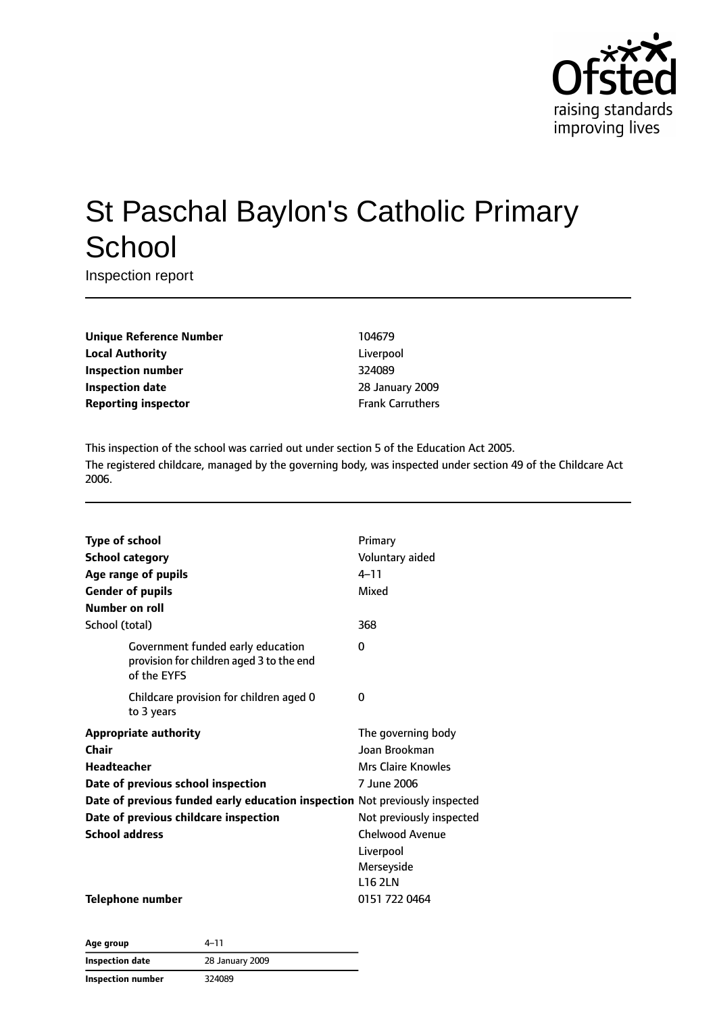

# St Paschal Baylon's Catholic Primary **School**

Inspection report

| <b>Unique Reference Number</b> |
|--------------------------------|
| <b>Local Authority</b>         |
| Inspection number              |
| <b>Inspection date</b>         |
| <b>Reporting inspector</b>     |

**Unique Reference Number** 104679 Liverpool **Inspection number** 324089 **Inspection date** 28 January 2009 **Frank Carruthers** 

This inspection of the school was carried out under section 5 of the Education Act 2005. The registered childcare, managed by the governing body, was inspected under section 49 of the Childcare Act 2006.

| <b>Type of school</b>                                                                        | Primary                   |
|----------------------------------------------------------------------------------------------|---------------------------|
| <b>School category</b>                                                                       | Voluntary aided           |
| Age range of pupils                                                                          | $4 - 11$                  |
| <b>Gender of pupils</b>                                                                      | Mixed                     |
| Number on roll                                                                               |                           |
| School (total)                                                                               | 368                       |
| Government funded early education<br>provision for children aged 3 to the end<br>of the EYFS | 0                         |
| Childcare provision for children aged 0<br>to 3 years                                        | 0                         |
| <b>Appropriate authority</b>                                                                 | The governing body        |
| Chair                                                                                        | Joan Brookman             |
| Headteacher                                                                                  | <b>Mrs Claire Knowles</b> |
| Date of previous school inspection                                                           | 7 June 2006               |
| Date of previous funded early education inspection Not previously inspected                  |                           |
| Date of previous childcare inspection                                                        | Not previously inspected  |
| <b>School address</b>                                                                        | <b>Chelwood Avenue</b>    |
|                                                                                              | Liverpool                 |
|                                                                                              | Merseyside                |
|                                                                                              | <b>L16 2LN</b>            |
| <b>Telephone number</b>                                                                      | 0151 722 0464             |

| Age group                | 4–11            |  |
|--------------------------|-----------------|--|
| Inspection date          | 28 January 2009 |  |
| <b>Inspection number</b> | 324089          |  |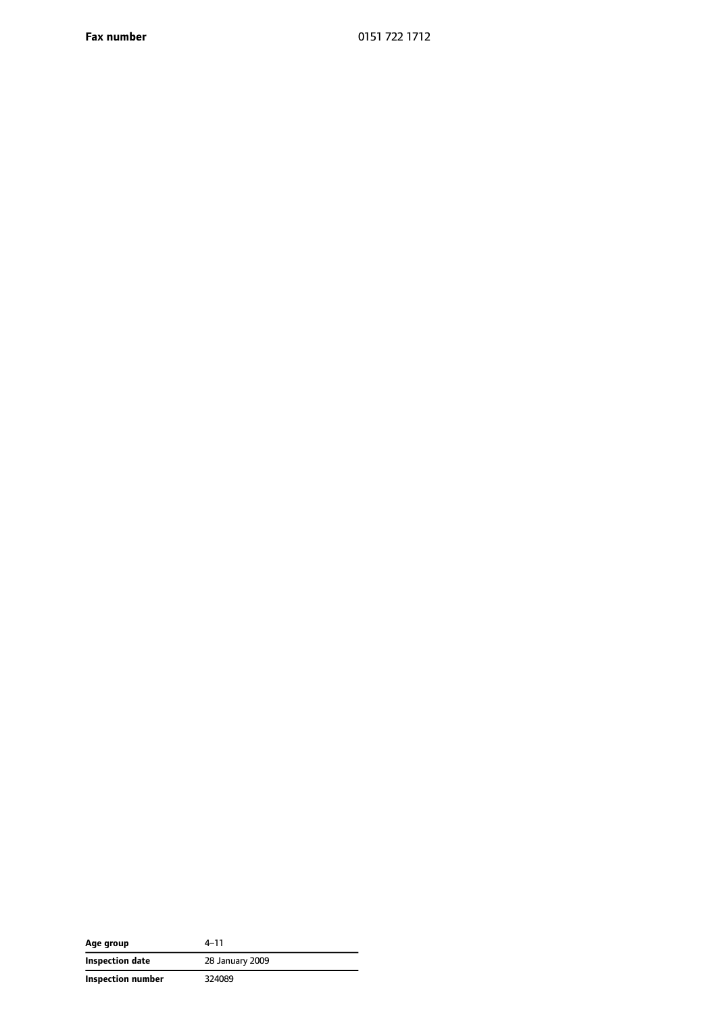**Fax number** 0151 722 1712

| Age group         | 4–11            |
|-------------------|-----------------|
| Inspection date   | 28 January 2009 |
| Inspection number | 324089          |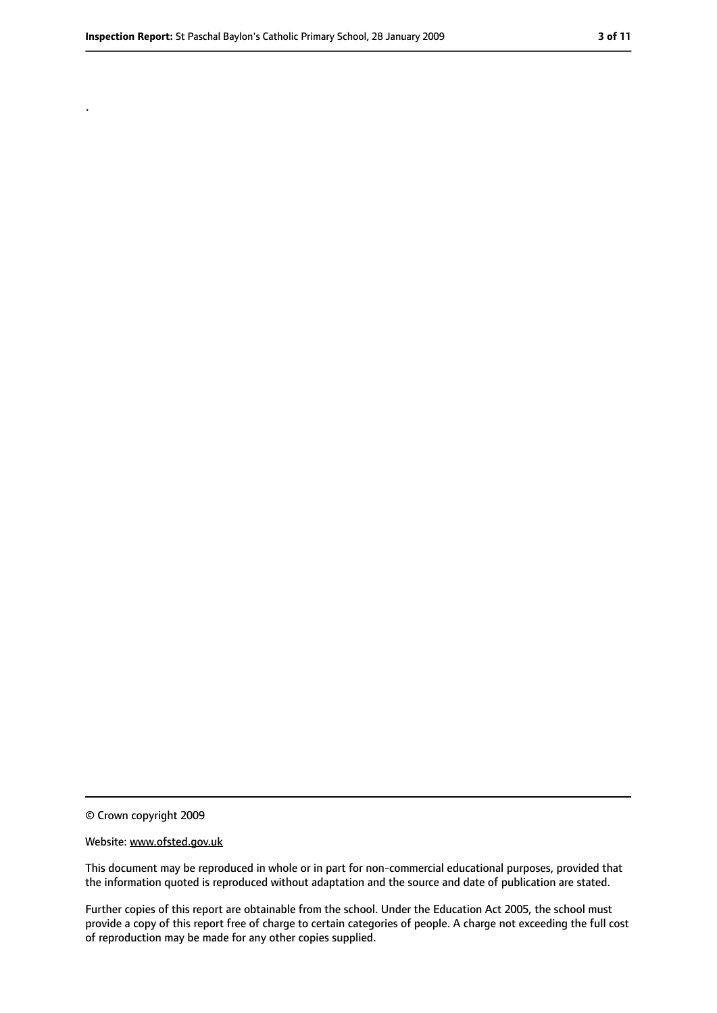.

#### Website: www.ofsted.gov.uk

This document may be reproduced in whole or in part for non-commercial educational purposes, provided that the information quoted is reproduced without adaptation and the source and date of publication are stated.

Further copies of this report are obtainable from the school. Under the Education Act 2005, the school must provide a copy of this report free of charge to certain categories of people. A charge not exceeding the full cost of reproduction may be made for any other copies supplied.

<sup>©</sup> Crown copyright 2009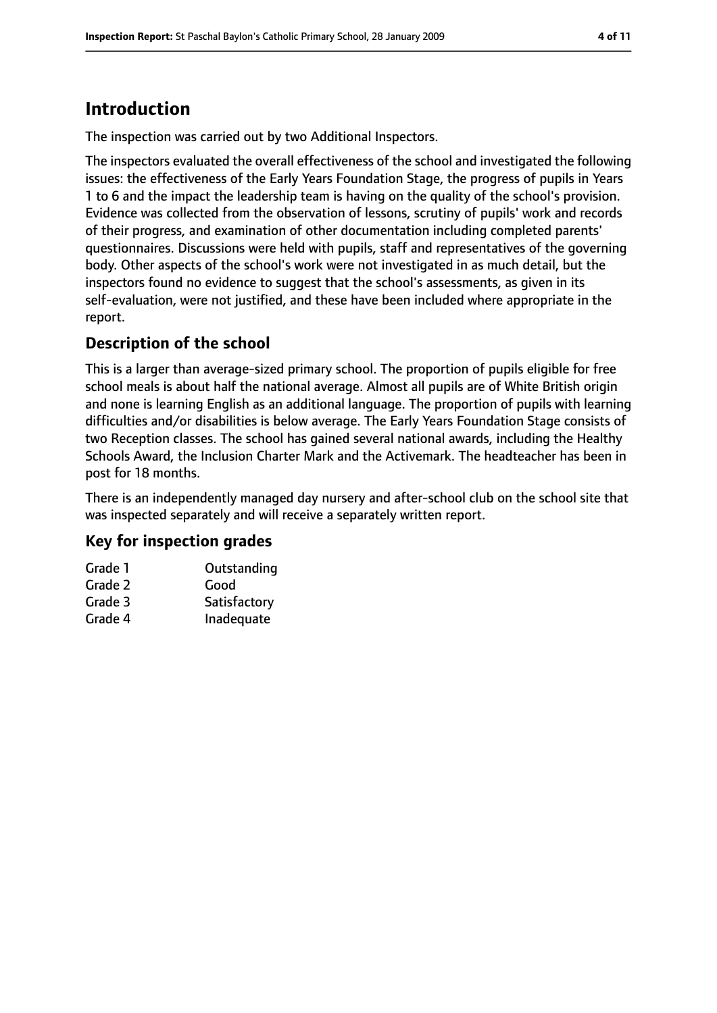### **Introduction**

The inspection was carried out by two Additional Inspectors.

The inspectors evaluated the overall effectiveness of the school and investigated the following issues: the effectiveness of the Early Years Foundation Stage, the progress of pupils in Years 1 to 6 and the impact the leadership team is having on the quality of the school's provision. Evidence was collected from the observation of lessons, scrutiny of pupils' work and records of their progress, and examination of other documentation including completed parents' questionnaires. Discussions were held with pupils, staff and representatives of the governing body. Other aspects of the school's work were not investigated in as much detail, but the inspectors found no evidence to suggest that the school's assessments, as given in its self-evaluation, were not justified, and these have been included where appropriate in the report.

#### **Description of the school**

This is a larger than average-sized primary school. The proportion of pupils eligible for free school meals is about half the national average. Almost all pupils are of White British origin and none is learning English as an additional language. The proportion of pupils with learning difficulties and/or disabilities is below average. The Early Years Foundation Stage consists of two Reception classes. The school has gained several national awards, including the Healthy Schools Award, the Inclusion Charter Mark and the Activemark. The headteacher has been in post for 18 months.

There is an independently managed day nursery and after-school club on the school site that was inspected separately and will receive a separately written report.

#### **Key for inspection grades**

| Grade 1 | Outstanding  |
|---------|--------------|
| Grade 2 | Good         |
| Grade 3 | Satisfactory |
| Grade 4 | Inadequate   |
|         |              |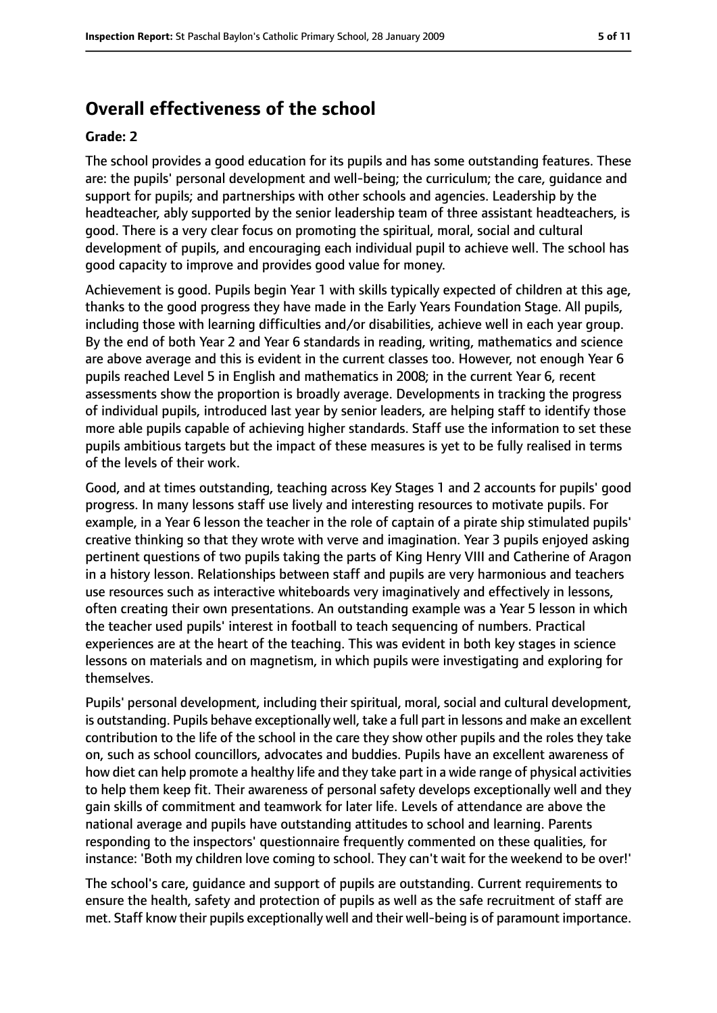### **Overall effectiveness of the school**

#### **Grade: 2**

The school provides a good education for its pupils and has some outstanding features. These are: the pupils' personal development and well-being; the curriculum; the care, guidance and support for pupils; and partnerships with other schools and agencies. Leadership by the headteacher, ably supported by the senior leadership team of three assistant headteachers, is good. There is a very clear focus on promoting the spiritual, moral, social and cultural development of pupils, and encouraging each individual pupil to achieve well. The school has good capacity to improve and provides good value for money.

Achievement is good. Pupils begin Year 1 with skills typically expected of children at this age, thanks to the good progress they have made in the Early Years Foundation Stage. All pupils, including those with learning difficulties and/or disabilities, achieve well in each year group. By the end of both Year 2 and Year 6 standards in reading, writing, mathematics and science are above average and this is evident in the current classes too. However, not enough Year 6 pupils reached Level 5 in English and mathematics in 2008; in the current Year 6, recent assessments show the proportion is broadly average. Developments in tracking the progress of individual pupils, introduced last year by senior leaders, are helping staff to identify those more able pupils capable of achieving higher standards. Staff use the information to set these pupils ambitious targets but the impact of these measures is yet to be fully realised in terms of the levels of their work.

Good, and at times outstanding, teaching across Key Stages 1 and 2 accounts for pupils' good progress. In many lessons staff use lively and interesting resources to motivate pupils. For example, in a Year 6 lesson the teacher in the role of captain of a pirate ship stimulated pupils' creative thinking so that they wrote with verve and imagination. Year 3 pupils enjoyed asking pertinent questions of two pupils taking the parts of King Henry VIII and Catherine of Aragon in a history lesson. Relationships between staff and pupils are very harmonious and teachers use resources such as interactive whiteboards very imaginatively and effectively in lessons, often creating their own presentations. An outstanding example was a Year 5 lesson in which the teacher used pupils' interest in football to teach sequencing of numbers. Practical experiences are at the heart of the teaching. This was evident in both key stages in science lessons on materials and on magnetism, in which pupils were investigating and exploring for themselves.

Pupils' personal development, including their spiritual, moral, social and cultural development, is outstanding. Pupils behave exceptionally well, take a full part in lessons and make an excellent contribution to the life of the school in the care they show other pupils and the roles they take on, such as school councillors, advocates and buddies. Pupils have an excellent awareness of how diet can help promote a healthy life and they take part in a wide range of physical activities to help them keep fit. Their awareness of personal safety develops exceptionally well and they gain skills of commitment and teamwork for later life. Levels of attendance are above the national average and pupils have outstanding attitudes to school and learning. Parents responding to the inspectors' questionnaire frequently commented on these qualities, for instance: 'Both my children love coming to school. They can't wait for the weekend to be over!'

The school's care, guidance and support of pupils are outstanding. Current requirements to ensure the health, safety and protection of pupils as well as the safe recruitment of staff are met. Staff know their pupils exceptionally well and their well-being is of paramount importance.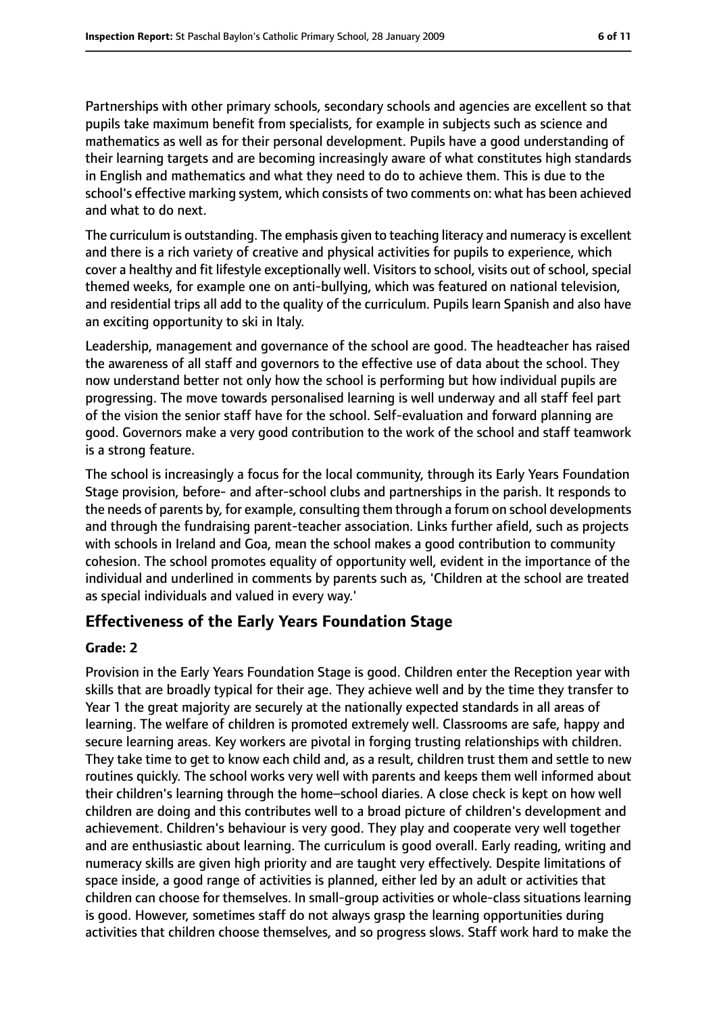Partnerships with other primary schools, secondary schools and agencies are excellent so that pupils take maximum benefit from specialists, for example in subjects such as science and mathematics as well as for their personal development. Pupils have a good understanding of their learning targets and are becoming increasingly aware of what constitutes high standards in English and mathematics and what they need to do to achieve them. This is due to the school's effective marking system, which consists of two comments on: what has been achieved and what to do next.

The curriculum is outstanding. The emphasis given to teaching literacy and numeracy is excellent and there is a rich variety of creative and physical activities for pupils to experience, which cover a healthy and fit lifestyle exceptionally well. Visitors to school, visits out of school, special themed weeks, for example one on anti-bullying, which was featured on national television, and residential trips all add to the quality of the curriculum. Pupils learn Spanish and also have an exciting opportunity to ski in Italy.

Leadership, management and governance of the school are good. The headteacher has raised the awareness of all staff and governors to the effective use of data about the school. They now understand better not only how the school is performing but how individual pupils are progressing. The move towards personalised learning is well underway and all staff feel part of the vision the senior staff have for the school. Self-evaluation and forward planning are good. Governors make a very good contribution to the work of the school and staff teamwork is a strong feature.

The school is increasingly a focus for the local community, through its Early Years Foundation Stage provision, before- and after-school clubs and partnerships in the parish. It responds to the needs of parents by, for example, consulting them through a forum on school developments and through the fundraising parent-teacher association. Links further afield, such as projects with schools in Ireland and Goa, mean the school makes a good contribution to community cohesion. The school promotes equality of opportunity well, evident in the importance of the individual and underlined in comments by parents such as, 'Children at the school are treated as special individuals and valued in every way.'

#### **Effectiveness of the Early Years Foundation Stage**

#### **Grade: 2**

Provision in the Early Years Foundation Stage is good. Children enter the Reception year with skills that are broadly typical for their age. They achieve well and by the time they transfer to Year 1 the great majority are securely at the nationally expected standards in all areas of learning. The welfare of children is promoted extremely well. Classrooms are safe, happy and secure learning areas. Key workers are pivotal in forging trusting relationships with children. They take time to get to know each child and, as a result, children trust them and settle to new routines quickly. The school works very well with parents and keeps them well informed about their children's learning through the home–school diaries. A close check is kept on how well children are doing and this contributes well to a broad picture of children's development and achievement. Children's behaviour is very good. They play and cooperate very well together and are enthusiastic about learning. The curriculum is good overall. Early reading, writing and numeracy skills are given high priority and are taught very effectively. Despite limitations of space inside, a good range of activities is planned, either led by an adult or activities that children can choose for themselves. In small-group activities or whole-class situations learning is good. However, sometimes staff do not always grasp the learning opportunities during activities that children choose themselves, and so progress slows. Staff work hard to make the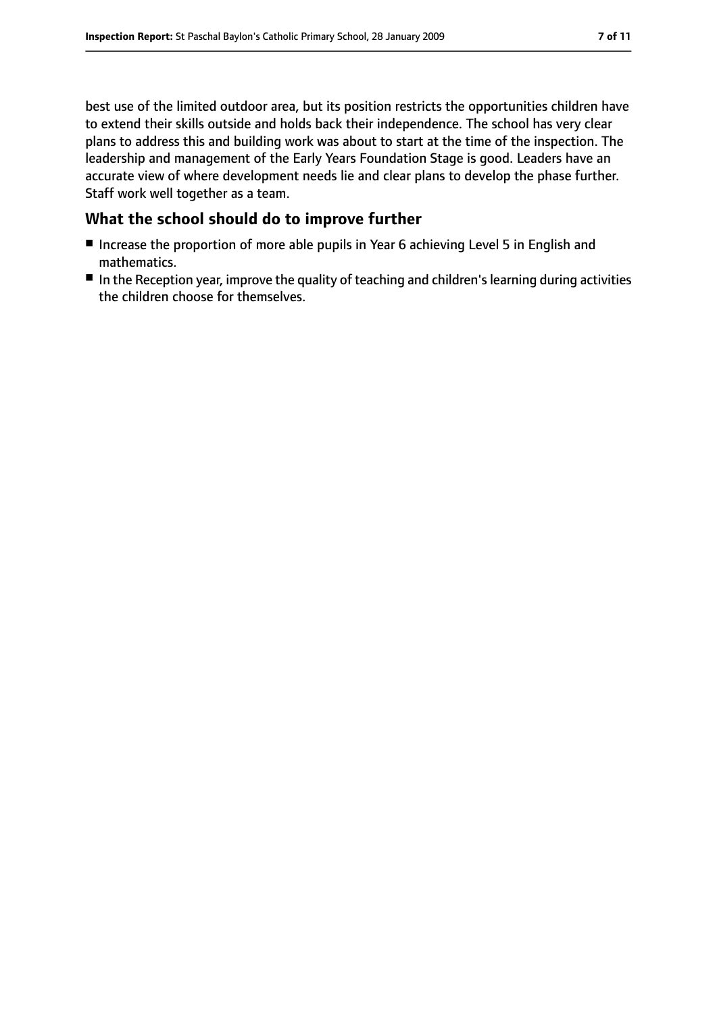best use of the limited outdoor area, but its position restricts the opportunities children have to extend their skills outside and holds back their independence. The school has very clear plans to address this and building work was about to start at the time of the inspection. The leadership and management of the Early Years Foundation Stage is good. Leaders have an accurate view of where development needs lie and clear plans to develop the phase further. Staff work well together as a team.

#### **What the school should do to improve further**

- Increase the proportion of more able pupils in Year 6 achieving Level 5 in English and mathematics.
- In the Reception year, improve the quality of teaching and children's learning during activities the children choose for themselves.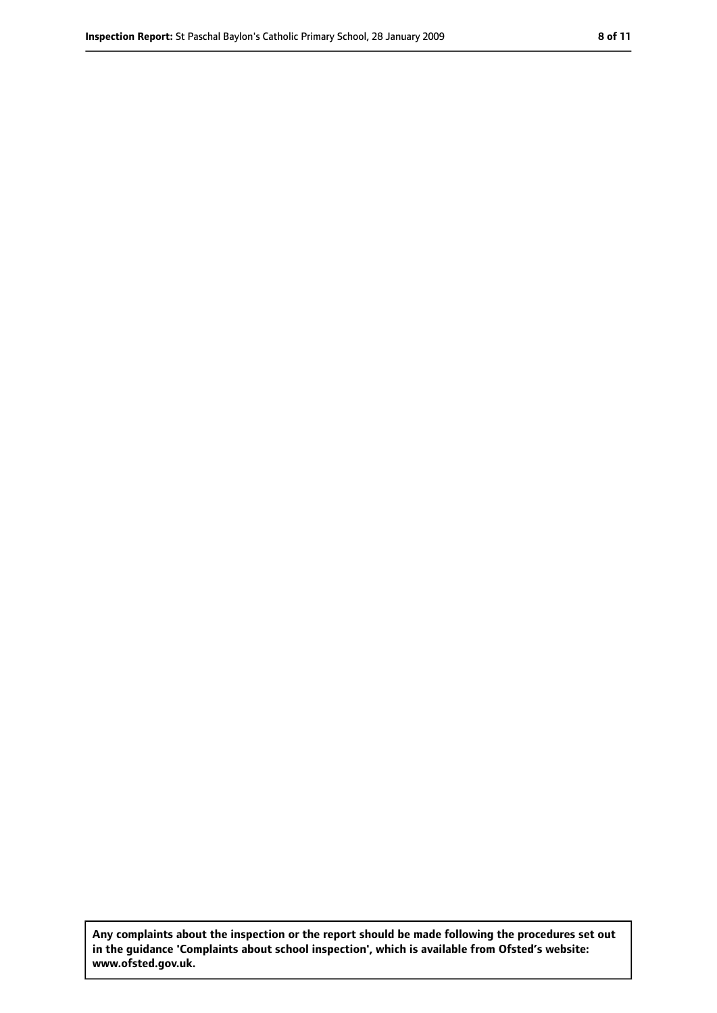**Any complaints about the inspection or the report should be made following the procedures set out in the guidance 'Complaints about school inspection', which is available from Ofsted's website: www.ofsted.gov.uk.**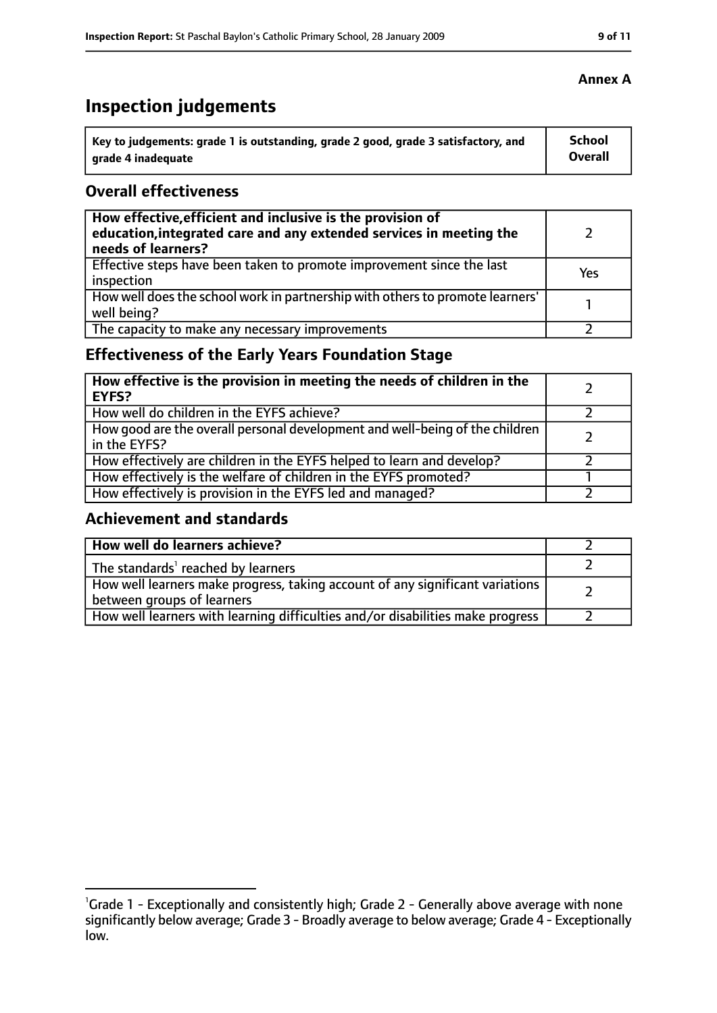## **Inspection judgements**

| Key to judgements: grade 1 is outstanding, grade 2 good, grade 3 satisfactory, and | <b>School</b> |
|------------------------------------------------------------------------------------|---------------|
| arade 4 inadequate                                                                 | Overall       |

#### **Overall effectiveness**

| How effective, efficient and inclusive is the provision of<br>education, integrated care and any extended services in meeting the<br>needs of learners? |     |
|---------------------------------------------------------------------------------------------------------------------------------------------------------|-----|
| Effective steps have been taken to promote improvement since the last<br>inspection                                                                     | Yes |
| How well does the school work in partnership with others to promote learners'<br>well being?                                                            |     |
| The capacity to make any necessary improvements                                                                                                         |     |

### **Effectiveness of the Early Years Foundation Stage**

| How effective is the provision in meeting the needs of children in the<br><b>EYFS?</b>       |  |
|----------------------------------------------------------------------------------------------|--|
| How well do children in the EYFS achieve?                                                    |  |
| How good are the overall personal development and well-being of the children<br>in the EYFS? |  |
| How effectively are children in the EYFS helped to learn and develop?                        |  |
| How effectively is the welfare of children in the EYFS promoted?                             |  |
| How effectively is provision in the EYFS led and managed?                                    |  |

#### **Achievement and standards**

| How well do learners achieve?                                                                               |  |
|-------------------------------------------------------------------------------------------------------------|--|
| The standards <sup>1</sup> reached by learners                                                              |  |
| How well learners make progress, taking account of any significant variations<br>between groups of learners |  |
| How well learners with learning difficulties and/or disabilities make progress                              |  |

#### **Annex A**

<sup>&</sup>lt;sup>1</sup>Grade 1 - Exceptionally and consistently high; Grade 2 - Generally above average with none significantly below average; Grade 3 - Broadly average to below average; Grade 4 - Exceptionally low.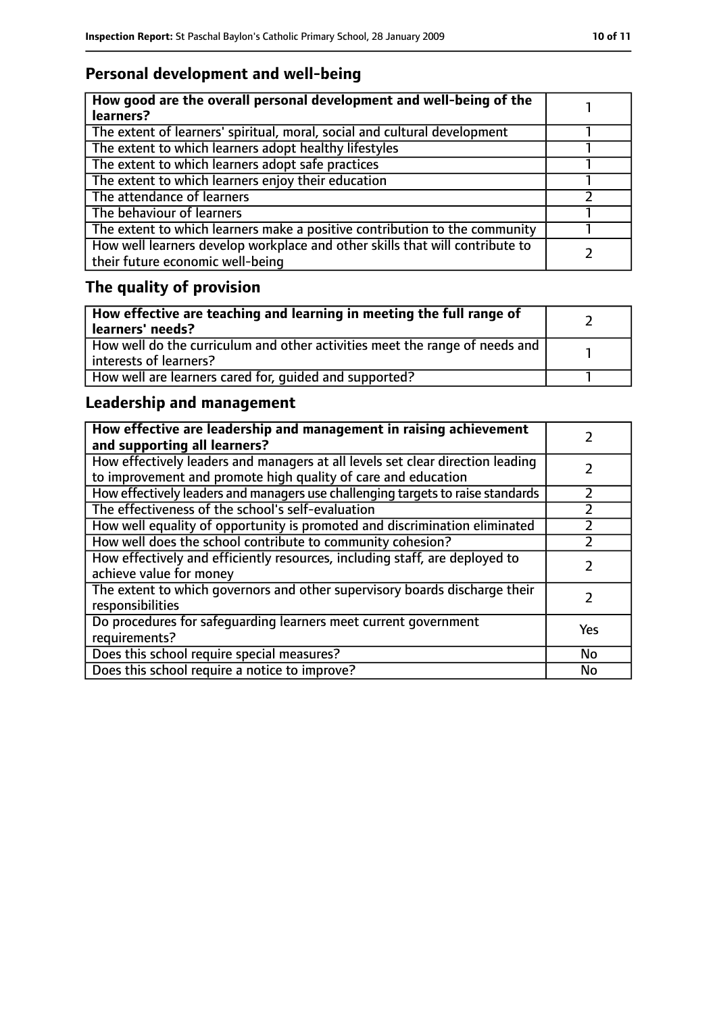### **Personal development and well-being**

| How good are the overall personal development and well-being of the<br>learners?                                 |  |
|------------------------------------------------------------------------------------------------------------------|--|
| The extent of learners' spiritual, moral, social and cultural development                                        |  |
| The extent to which learners adopt healthy lifestyles                                                            |  |
| The extent to which learners adopt safe practices                                                                |  |
| The extent to which learners enjoy their education                                                               |  |
| The attendance of learners                                                                                       |  |
| The behaviour of learners                                                                                        |  |
| The extent to which learners make a positive contribution to the community                                       |  |
| How well learners develop workplace and other skills that will contribute to<br>their future economic well-being |  |

## **The quality of provision**

| How effective are teaching and learning in meeting the full range of<br>learners' needs?              |  |
|-------------------------------------------------------------------------------------------------------|--|
| How well do the curriculum and other activities meet the range of needs and<br>interests of learners? |  |
| How well are learners cared for, quided and supported?                                                |  |

### **Leadership and management**

| How effective are leadership and management in raising achievement<br>and supporting all learners?                                              |     |
|-------------------------------------------------------------------------------------------------------------------------------------------------|-----|
| How effectively leaders and managers at all levels set clear direction leading<br>to improvement and promote high quality of care and education |     |
| How effectively leaders and managers use challenging targets to raise standards                                                                 |     |
| The effectiveness of the school's self-evaluation                                                                                               |     |
| How well equality of opportunity is promoted and discrimination eliminated                                                                      |     |
| How well does the school contribute to community cohesion?                                                                                      |     |
| How effectively and efficiently resources, including staff, are deployed to<br>achieve value for money                                          |     |
| The extent to which governors and other supervisory boards discharge their<br>responsibilities                                                  |     |
| Do procedures for safequarding learners meet current government<br>requirements?                                                                | Yes |
| Does this school require special measures?                                                                                                      | No  |
| Does this school require a notice to improve?                                                                                                   | No  |